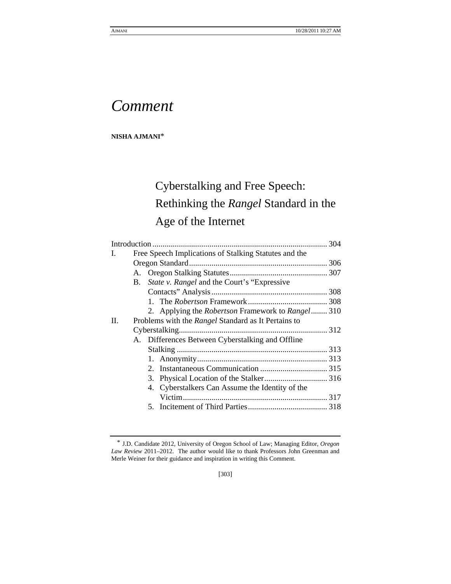# *Comment*

**NISHA AJMANI**\*

# Cyberstalking and Free Speech: Rethinking the *Rangel* Standard in the Age of the Internet

| L. | Free Speech Implications of Stalking Statutes and the           |  |
|----|-----------------------------------------------------------------|--|
|    |                                                                 |  |
|    |                                                                 |  |
|    | <i>State v. Rangel</i> and the Court's "Expressive"<br>B.       |  |
|    |                                                                 |  |
|    |                                                                 |  |
|    | 2. Applying the <i>Robertson</i> Framework to <i>Rangel</i> 310 |  |
| П. | Problems with the <i>Rangel</i> Standard as It Pertains to      |  |
|    |                                                                 |  |
|    | A. Differences Between Cyberstalking and Offline                |  |
|    |                                                                 |  |
|    |                                                                 |  |
|    |                                                                 |  |
|    |                                                                 |  |
|    | 4. Cyberstalkers Can Assume the Identity of the                 |  |
|    |                                                                 |  |
|    |                                                                 |  |
|    |                                                                 |  |

[303]

<sup>\*</sup> J.D. Candidate 2012, University of Oregon School of Law; Managing Editor, *Oregon Law Review* 2011–2012. The author would like to thank Professors John Greenman and Merle Weiner for their guidance and inspiration in writing this Comment.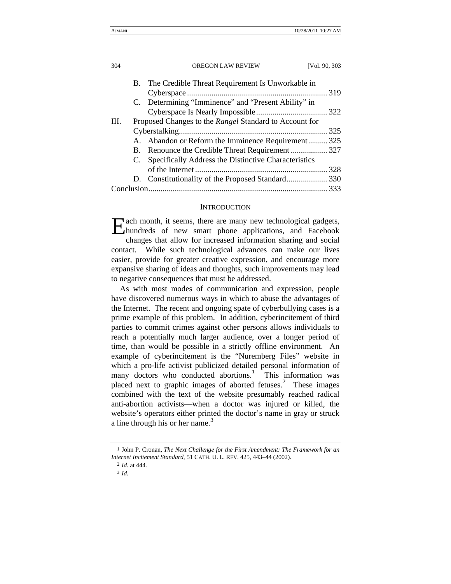|     |  | B. The Credible Threat Requirement Is Unworkable in     |  |
|-----|--|---------------------------------------------------------|--|
|     |  |                                                         |  |
|     |  | C. Determining "Imminence" and "Present Ability" in     |  |
|     |  |                                                         |  |
| HL. |  | Proposed Changes to the Rangel Standard to Account for  |  |
|     |  |                                                         |  |
|     |  | A. Abandon or Reform the Imminence Requirement 325      |  |
|     |  | B. Renounce the Credible Threat Requirement  327        |  |
|     |  | C. Specifically Address the Distinctive Characteristics |  |
|     |  |                                                         |  |
|     |  |                                                         |  |
|     |  |                                                         |  |
|     |  |                                                         |  |

#### **INTRODUCTION**

ach month, it seems, there are many new technological gadgets, Each month, it seems, there are many new technological gadgets, hundreds of new smart phone applications, and Facebook changes that allow for increased information sharing and social contact. While such technological advances can make our lives easier, provide for greater creative expression, and encourage more expansive sharing of ideas and thoughts, such improvements may lead to negative consequences that must be addressed.

As with most modes of communication and expression, people have discovered numerous ways in which to abuse the advantages of the Internet. The recent and ongoing spate of cyberbullying cases is a prime example of this problem. In addition, cyberincitement of third parties to commit crimes against other persons allows individuals to reach a potentially much larger audience, over a longer period of time, than would be possible in a strictly offline environment. An example of cyberincitement is the "Nuremberg Files" website in which a pro-life activist publicized detailed personal information of many doctors who conducted abortions.<sup>1</sup> This information was placed next to graphic images of aborted fetuses.<sup>2</sup> These images combined with the text of the website presumably reached radical anti-abortion activists—when a doctor was injured or killed, the website's operators either printed the doctor's name in gray or struck a line through his or her name.<sup>3</sup>

<sup>1</sup> John P. Cronan, *The Next Challenge for the First Amendment: The Framework for an Internet Incitement Standard*, 51 CATH. U. L. REV. 425, 443–44 (2002).

<sup>2</sup> *Id.* at 444.

<sup>3</sup> *Id.*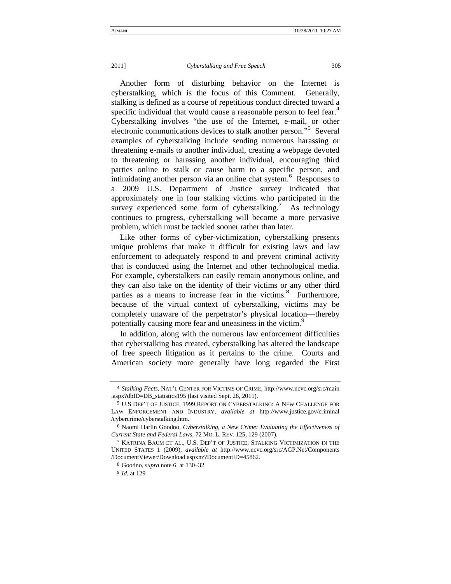#### 2011] *Cyberstalking and Free Speech* 305

Another form of disturbing behavior on the Internet is cyberstalking, which is the focus of this Comment. Generally, stalking is defined as a course of repetitious conduct directed toward a specific individual that would cause a reasonable person to feel fear.<sup>4</sup> Cyberstalking involves "the use of the Internet, e-mail, or other electronic communications devices to stalk another person."<sup>5</sup> Several examples of cyberstalking include sending numerous harassing or threatening e-mails to another individual, creating a webpage devoted to threatening or harassing another individual, encouraging third parties online to stalk or cause harm to a specific person, and intimidating another person via an online chat system.<sup>6</sup> Responses to a 2009 U.S. Department of Justice survey indicated that approximately one in four stalking victims who participated in the survey experienced some form of cyberstalking. As technology continues to progress, cyberstalking will become a more pervasive problem, which must be tackled sooner rather than later.

Like other forms of cyber-victimization, cyberstalking presents unique problems that make it difficult for existing laws and law enforcement to adequately respond to and prevent criminal activity that is conducted using the Internet and other technological media. For example, cyberstalkers can easily remain anonymous online, and they can also take on the identity of their victims or any other third parties as a means to increase fear in the victims.<sup>8</sup> Furthermore, because of the virtual context of cyberstalking, victims may be completely unaware of the perpetrator's physical location—thereby potentially causing more fear and uneasiness in the victim.<sup>9</sup>

In addition, along with the numerous law enforcement difficulties that cyberstalking has created, cyberstalking has altered the landscape of free speech litigation as it pertains to the crime. Courts and American society more generally have long regarded the First

<sup>4</sup> *Stalking Facts*, NAT'L CENTER FOR VICTIMS OF CRIME, http://www.ncvc.org/src/main .aspx?dbID=DB\_statistics195 (last visited Sept. 28, 2011).

<sup>5</sup> U.S DEP'T OF JUSTICE, 1999 REPORT ON CYBERSTALKING: A NEW CHALLENGE FOR LAW ENFORCEMENT AND INDUSTRY, *available at* http://www.justice.gov/criminal /cybercrime/cyberstalking.htm.

<sup>6</sup> Naomi Harlin Goodno, *Cyberstalking, a New Crime: Evaluating the Effectiveness of Current State and Federal Laws*, 72 MO. L. REV. 125, 129 (2007).

<sup>7</sup> KATRINA BAUM ET AL., U.S. DEP'T OF JUSTICE, STALKING VICTIMIZATION IN THE UNITED STATES 1 (2009), *available at* http://www.ncvc.org/src/AGP.Net/Components /DocumentViewer/Download.aspxnz?DocumentID=45862.

<sup>8</sup> Goodno, *supra* note 6, at 130–32.

<sup>9</sup> *Id.* at 129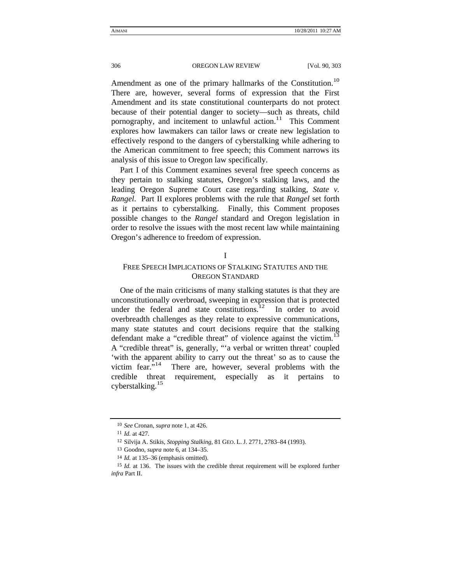Amendment as one of the primary hallmarks of the Constitution.<sup>10</sup> There are, however, several forms of expression that the First Amendment and its state constitutional counterparts do not protect because of their potential danger to society—such as threats, child pornography, and incitement to unlawful action.<sup>11</sup> This Comment explores how lawmakers can tailor laws or create new legislation to effectively respond to the dangers of cyberstalking while adhering to the American commitment to free speech; this Comment narrows its analysis of this issue to Oregon law specifically.

Part I of this Comment examines several free speech concerns as they pertain to stalking statutes, Oregon's stalking laws, and the leading Oregon Supreme Court case regarding stalking, *State v. Rangel*. Part II explores problems with the rule that *Rangel* set forth as it pertains to cyberstalking. Finally, this Comment proposes possible changes to the *Rangel* standard and Oregon legislation in order to resolve the issues with the most recent law while maintaining Oregon's adherence to freedom of expression.

## I

## FREE SPEECH IMPLICATIONS OF STALKING STATUTES AND THE OREGON STANDARD

One of the main criticisms of many stalking statutes is that they are unconstitutionally overbroad, sweeping in expression that is protected under the federal and state constitutions.<sup>12</sup> In order to avoid overbreadth challenges as they relate to expressive communications, many state statutes and court decisions require that the stalking defendant make a "credible threat" of violence against the victim.<sup>13</sup> A "credible threat" is, generally, "'a verbal or written threat' coupled 'with the apparent ability to carry out the threat' so as to cause the victim fear."<sup>14</sup> There are, however, several problems with the There are, however, several problems with the credible threat requirement, especially as it pertains to cyberstalking.<sup>15</sup>

<sup>10</sup> *See* Cronan, *supra* note 1, at 426.

<sup>11</sup> *Id.* at 427.

<sup>12</sup> Silvija A. Stikis, *Stopping Stalking*, 81 GEO. L. J. 2771, 2783–84 (1993).

<sup>13</sup> Goodno, *supra* note 6, at 134–35.

<sup>14</sup> *Id.* at 135–36 (emphasis omitted).

<sup>15</sup> *Id.* at 136. The issues with the credible threat requirement will be explored further *infra* Part II.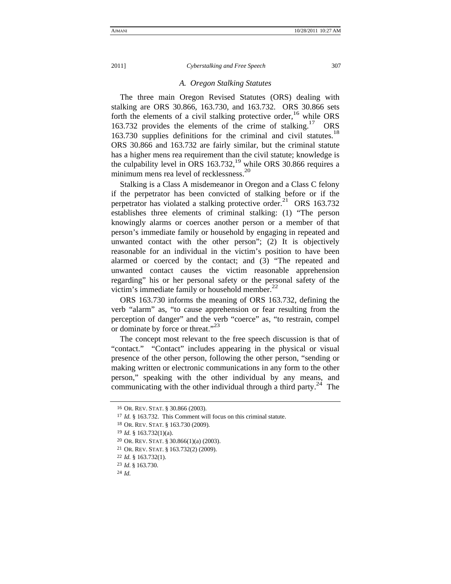#### *A. Oregon Stalking Statutes*

The three main Oregon Revised Statutes (ORS) dealing with stalking are ORS 30.866, 163.730, and 163.732. ORS 30.866 sets forth the elements of a civil stalking protective order,  $^{16}$  while ORS 163.732 provides the elements of the crime of stalking.<sup>17</sup> ORS 163.730 supplies definitions for the criminal and civil statutes.<sup>18</sup> ORS 30.866 and 163.732 are fairly similar, but the criminal statute has a higher mens rea requirement than the civil statute; knowledge is the culpability level in ORS 163.732,<sup>19</sup> while ORS 30.866 requires a minimum mens rea level of recklessness.<sup>20</sup>

Stalking is a Class A misdemeanor in Oregon and a Class C felony if the perpetrator has been convicted of stalking before or if the perpetrator has violated a stalking protective order.<sup>21</sup> ORS 163.732 establishes three elements of criminal stalking: (1) "The person knowingly alarms or coerces another person or a member of that person's immediate family or household by engaging in repeated and unwanted contact with the other person"; (2) It is objectively reasonable for an individual in the victim's position to have been alarmed or coerced by the contact; and (3) "The repeated and unwanted contact causes the victim reasonable apprehension regarding" his or her personal safety or the personal safety of the victim's immediate family or household member. $^{22}$ 

ORS 163.730 informs the meaning of ORS 163.732, defining the verb "alarm" as, "to cause apprehension or fear resulting from the perception of danger" and the verb "coerce" as, "to restrain, compel or dominate by force or threat."<sup>23</sup>

The concept most relevant to the free speech discussion is that of "contact." "Contact" includes appearing in the physical or visual presence of the other person, following the other person, "sending or making written or electronic communications in any form to the other person," speaking with the other individual by any means, and communicating with the other individual through a third party.<sup>24</sup> The

- 19 *Id.* § 163.732(1)(a).
- 20 OR. REV. STAT. § 30.866(1)(a) (2003).
- 21 OR. REV. STAT. § 163.732(2) (2009).
- 22 *Id.* § 163.732(1).
- 23 *Id.* § 163.730.

24 *Id.*

<sup>16</sup> OR. REV. STAT. § 30.866 (2003).

<sup>17</sup> *Id.* § 163.732. This Comment will focus on this criminal statute.

<sup>18</sup> OR. REV. STAT. § 163.730 (2009).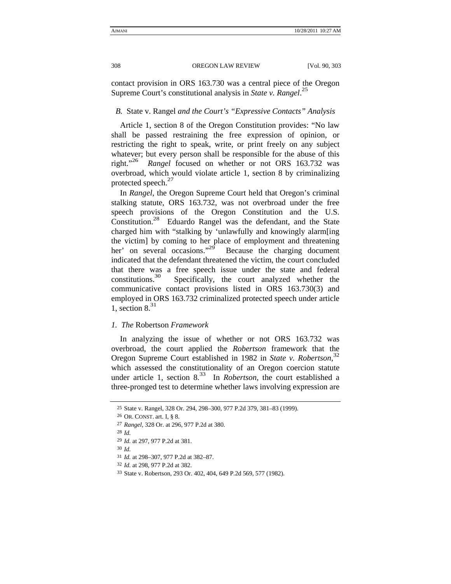contact provision in ORS 163.730 was a central piece of the Oregon Supreme Court's constitutional analysis in *State v. Rangel*. 25

## *B.* State v. Rangel *and the Court's "Expressive Contacts" Analysis*

Article 1, section 8 of the Oregon Constitution provides: "No law shall be passed restraining the free expression of opinion, or restricting the right to speak, write, or print freely on any subject whatever; but every person shall be responsible for the abuse of this right."26 *Rangel* focused on whether or not ORS 163.732 was overbroad, which would violate article 1, section 8 by criminalizing protected speech.<sup>27</sup>

In *Rangel*, the Oregon Supreme Court held that Oregon's criminal stalking statute, ORS 163.732, was not overbroad under the free speech provisions of the Oregon Constitution and the U.S. Constitution.28 Eduardo Rangel was the defendant, and the State charged him with "stalking by 'unlawfully and knowingly alarm[ing the victim] by coming to her place of employment and threatening her' on several occasions." $^{29}$  Because the charging document indicated that the defendant threatened the victim, the court concluded that there was a free speech issue under the state and federal constitutions.30 Specifically, the court analyzed whether the communicative contact provisions listed in ORS 163.730(3) and employed in ORS 163.732 criminalized protected speech under article 1, section  $8^{31}$ 

#### *1. The* Robertson *Framework*

In analyzing the issue of whether or not ORS 163.732 was overbroad, the court applied the *Robertson* framework that the Oregon Supreme Court established in 1982 in *State v. Robertson*, 32 which assessed the constitutionality of an Oregon coercion statute under article 1, section  $8^{33}$  In *Robertson*, the court established a three-pronged test to determine whether laws involving expression are

30 *Id.*

<sup>25</sup> State v. Rangel, 328 Or. 294, 298–300, 977 P.2d 379, 381–83 (1999).

<sup>26</sup> OR. CONST. art. I, § 8.

<sup>27</sup> *Rangel*, 328 Or. at 296, 977 P.2d at 380.

<sup>28</sup> *Id.*

<sup>29</sup> *Id.* at 297, 977 P.2d at 381.

<sup>31</sup> *Id.* at 298–307, 977 P.2d at 382–87.

<sup>32</sup> *Id.* at 298, 977 P.2d at 382.

<sup>33</sup> State v. Robertson, 293 Or. 402, 404, 649 P.2d 569, 577 (1982).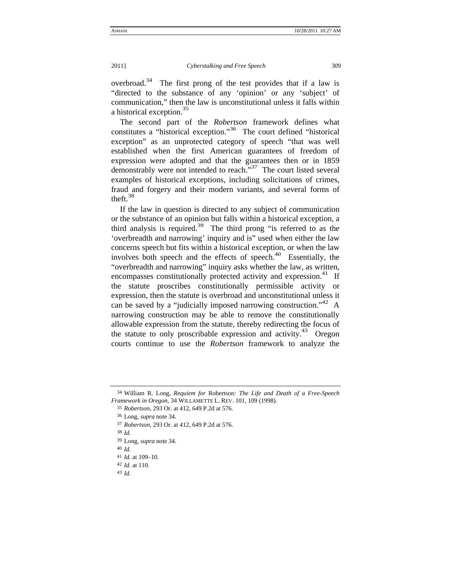overbroad.<sup>34</sup> The first prong of the test provides that if a law is "directed to the substance of any 'opinion' or any 'subject' of communication," then the law is unconstitutional unless it falls within a historical exception.<sup>35</sup>

The second part of the *Robertson* framework defines what constitutes a "historical exception."36 The court defined "historical exception" as an unprotected category of speech "that was well established when the first American guarantees of freedom of expression were adopted and that the guarantees then or in 1859 demonstrably were not intended to reach."<sup>37</sup> The court listed several examples of historical exceptions, including solicitations of crimes, fraud and forgery and their modern variants, and several forms of theft. $38$ 

If the law in question is directed to any subject of communication or the substance of an opinion but falls within a historical exception, a third analysis is required.<sup>39</sup> The third prong "is referred to as the 'overbreadth and narrowing' inquiry and is" used when either the law concerns speech but fits within a historical exception, or when the law involves both speech and the effects of speech. $40$  Essentially, the "overbreadth and narrowing" inquiry asks whether the law, as written, encompasses constitutionally protected activity and expression.<sup>41</sup> If the statute proscribes constitutionally permissible activity or expression, then the statute is overbroad and unconstitutional unless it can be saved by a "judicially imposed narrowing construction."  $^{42}$  A narrowing construction may be able to remove the constitutionally allowable expression from the statute, thereby redirecting the focus of the statute to only proscribable expression and activity.<sup>43</sup> Oregon courts continue to use the *Robertson* framework to analyze the

<sup>34</sup> William R. Long, *Requiem for* Robertson*: The Life and Death of a Free-Speech Framework in Oregon*, 34 WILLAMETTE L. REV. 101, 109 (1998).

<sup>35</sup> *Robertson*, 293 Or. at 412, 649 P.2d at 576.

<sup>36</sup> Long, *supra* note 34.

<sup>37</sup> *Robertson*, 293 Or. at 412, 649 P.2d at 576.

<sup>38</sup> *Id.* 

<sup>39</sup> Long, *supra* note 34.

<sup>40</sup> *Id.*

<sup>41</sup> *Id.* at 109–10.

<sup>42</sup> *Id.* at 110.

<sup>43</sup> *Id.*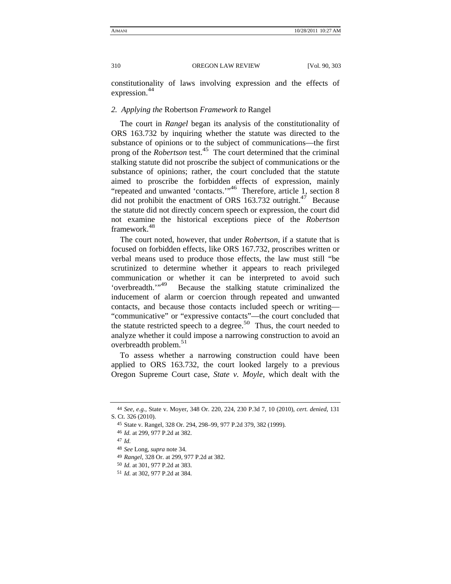constitutionality of laws involving expression and the effects of expression.<sup>44</sup>

#### *2. Applying the* Robertson *Framework to* Rangel

The court in *Rangel* began its analysis of the constitutionality of ORS 163.732 by inquiring whether the statute was directed to the substance of opinions or to the subject of communications—the first prong of the *Robertson* test.<sup>45</sup> The court determined that the criminal stalking statute did not proscribe the subject of communications or the substance of opinions; rather, the court concluded that the statute aimed to proscribe the forbidden effects of expression, mainly "repeated and unwanted 'contacts.'"46 Therefore, article 1, section 8 did not prohibit the enactment of ORS 163.732 outright.<sup>47</sup> Because the statute did not directly concern speech or expression, the court did not examine the historical exceptions piece of the *Robertson*  framework.<sup>48</sup>

The court noted, however, that under *Robertson*, if a statute that is focused on forbidden effects, like ORS 167.732, proscribes written or verbal means used to produce those effects, the law must still "be scrutinized to determine whether it appears to reach privileged communication or whether it can be interpreted to avoid such 'overbreadth.'"<sup>49</sup> Because the stalking statute criminalized the inducement of alarm or coercion through repeated and unwanted contacts, and because those contacts included speech or writing— "communicative" or "expressive contacts"—the court concluded that the statute restricted speech to a degree.<sup>50</sup> Thus, the court needed to analyze whether it could impose a narrowing construction to avoid an overbreadth problem.<sup>51</sup>

To assess whether a narrowing construction could have been applied to ORS 163.732, the court looked largely to a previous Oregon Supreme Court case, *State v. Moyle*, which dealt with the

<sup>44</sup> *See, e.g.*, State v. Moyer, 348 Or. 220, 224, 230 P.3d 7, 10 (2010), *cert. denied*, 131 S. Ct. 326 (2010).

<sup>45</sup> State v. Rangel, 328 Or. 294, 298–99, 977 P.2d 379, 382 (1999).

<sup>46</sup> *Id.* at 299, 977 P.2d at 382.

<sup>47</sup> *Id.*

<sup>48</sup> *See* Long, *supra* note 34.

<sup>49</sup> *Rangel*, 328 Or. at 299, 977 P.2d at 382.

<sup>50</sup> *Id.* at 301, 977 P.2d at 383.

<sup>51</sup> *Id.* at 302, 977 P.2d at 384.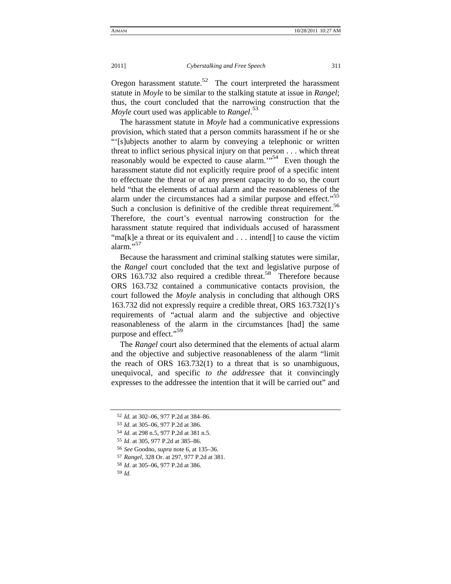Oregon harassment statute.<sup>52</sup> The court interpreted the harassment statute in *Moyle* to be similar to the stalking statute at issue in *Rangel*; thus, the court concluded that the narrowing construction that the *Moyle* court used was applicable to *Rangel*. 53

The harassment statute in *Moyle* had a communicative expressions provision, which stated that a person commits harassment if he or she "'[s]ubjects another to alarm by conveying a telephonic or written threat to inflict serious physical injury on that person . . . which threat reasonably would be expected to cause alarm. $\mathbb{R}^{54}$  Even though the harassment statute did not explicitly require proof of a specific intent to effectuate the threat or of any present capacity to do so, the court held "that the elements of actual alarm and the reasonableness of the alarm under the circumstances had a similar purpose and effect."<sup>55</sup> Such a conclusion is definitive of the credible threat requirement.<sup>56</sup> Therefore, the court's eventual narrowing construction for the harassment statute required that individuals accused of harassment "ma[k]e a threat or its equivalent and . . . intend[] to cause the victim alarm."<sup>57</sup>

Because the harassment and criminal stalking statutes were similar, the *Rangel* court concluded that the text and legislative purpose of ORS 163.732 also required a credible threat.<sup>58</sup> Therefore because ORS 163.732 contained a communicative contacts provision, the court followed the *Moyle* analysis in concluding that although ORS 163.732 did not expressly require a credible threat, ORS 163.732(1)'s requirements of "actual alarm and the subjective and objective reasonableness of the alarm in the circumstances [had] the same purpose and effect."<sup>59</sup>

The *Rangel* court also determined that the elements of actual alarm and the objective and subjective reasonableness of the alarm "limit the reach of ORS 163.732(1) to a threat that is so unambiguous, unequivocal, and specific *to the addressee* that it convincingly expresses to the addressee the intention that it will be carried out" and

<sup>52</sup> *Id.* at 302–06, 977 P.2d at 384–86.

<sup>53</sup> *Id.* at 305–06, 977 P.2d at 386.

<sup>54</sup> *Id.* at 298 n.5, 977 P.2d at 381 n.5.

<sup>55</sup> *Id.* at 305, 977 P.2d at 385–86.

<sup>56</sup> *See* Goodno, *supra* note 6, at 135–36.

<sup>57</sup> *Rangel*, 328 Or. at 297, 977 P.2d at 381.

<sup>58</sup> *Id.* at 305–06, 977 P.2d at 386.

<sup>59</sup> *Id.*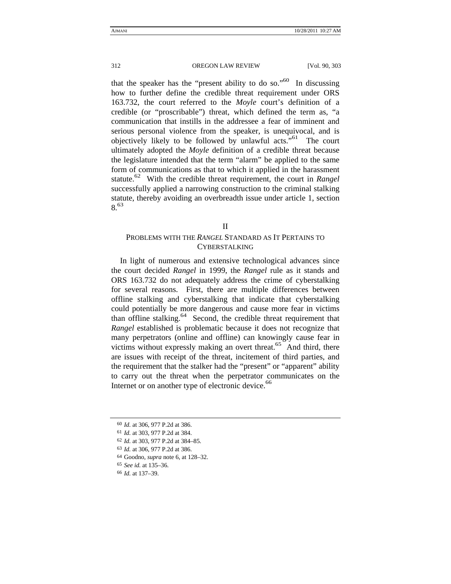that the speaker has the "present ability to do so."<sup>60</sup> In discussing how to further define the credible threat requirement under ORS 163.732, the court referred to the *Moyle* court's definition of a credible (or "proscribable") threat, which defined the term as, "a communication that instills in the addressee a fear of imminent and serious personal violence from the speaker, is unequivocal, and is objectively likely to be followed by unlawful acts."<sup>61</sup> The court ultimately adopted the *Moyle* definition of a credible threat because the legislature intended that the term "alarm" be applied to the same form of communications as that to which it applied in the harassment statute.<sup>62</sup> With the credible threat requirement, the court in *Rangel* successfully applied a narrowing construction to the criminal stalking statute, thereby avoiding an overbreadth issue under article 1, section 8.63

### II

# PROBLEMS WITH THE *RANGEL* STANDARD AS IT PERTAINS TO CYBERSTALKING

In light of numerous and extensive technological advances since the court decided *Rangel* in 1999, the *Rangel* rule as it stands and ORS 163.732 do not adequately address the crime of cyberstalking for several reasons. First, there are multiple differences between offline stalking and cyberstalking that indicate that cyberstalking could potentially be more dangerous and cause more fear in victims than offline stalking.64 Second, the credible threat requirement that *Rangel* established is problematic because it does not recognize that many perpetrators (online and offline) can knowingly cause fear in victims without expressly making an overt threat.<sup>65</sup> And third, there are issues with receipt of the threat, incitement of third parties, and the requirement that the stalker had the "present" or "apparent" ability to carry out the threat when the perpetrator communicates on the Internet or on another type of electronic device.<sup>66</sup>

- 63 *Id.* at 306, 977 P.2d at 386.
- 64 Goodno, *supra* note 6, at 128–32.
- 65 *See id.* at 135–36.

<sup>60</sup> *Id.* at 306, 977 P.2d at 386.

<sup>61</sup> *Id.* at 303, 977 P.2d at 384.

<sup>62</sup> *Id.* at 303, 977 P.2d at 384–85.

<sup>66</sup> *Id.* at 137–39.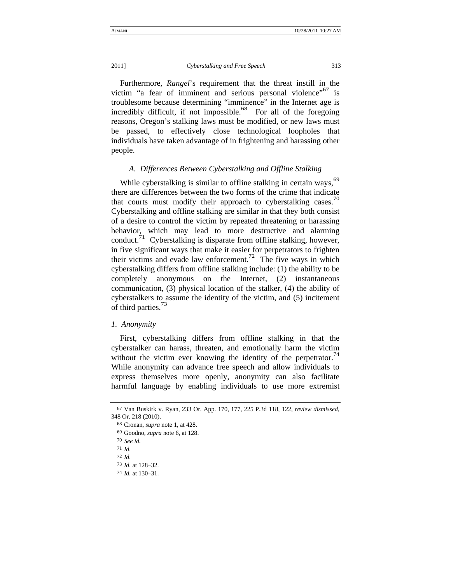#### 2011] *Cyberstalking and Free Speech* 313

Furthermore, *Rangel*'s requirement that the threat instill in the victim "a fear of imminent and serious personal violence"<sup>67</sup> is troublesome because determining "imminence" in the Internet age is incredibly difficult, if not impossible.<sup>68</sup> For all of the foregoing reasons, Oregon's stalking laws must be modified, or new laws must be passed, to effectively close technological loopholes that individuals have taken advantage of in frightening and harassing other people.

## *A. Differences Between Cyberstalking and Offline Stalking*

While cyberstalking is similar to offline stalking in certain ways,<sup>69</sup> there are differences between the two forms of the crime that indicate that courts must modify their approach to cyberstalking cases.<sup>70</sup> Cyberstalking and offline stalking are similar in that they both consist of a desire to control the victim by repeated threatening or harassing behavior, which may lead to more destructive and alarming conduct.<sup>71</sup> Cyberstalking is disparate from offline stalking, however, in five significant ways that make it easier for perpetrators to frighten their victims and evade law enforcement.<sup>72</sup> The five ways in which cyberstalking differs from offline stalking include: (1) the ability to be completely anonymous on the Internet, (2) instantaneous communication, (3) physical location of the stalker, (4) the ability of cyberstalkers to assume the identity of the victim, and (5) incitement of third parties.<sup>73</sup>

#### *1. Anonymity*

First, cyberstalking differs from offline stalking in that the cyberstalker can harass, threaten, and emotionally harm the victim without the victim ever knowing the identity of the perpetrator.<sup>74</sup> While anonymity can advance free speech and allow individuals to express themselves more openly, anonymity can also facilitate harmful language by enabling individuals to use more extremist

- 71 *Id.*
- 72 *Id.*

<sup>67</sup> Van Buskirk v. Ryan, 233 Or. App. 170, 177, 225 P.3d 118, 122, *review dismissed*, 348 Or. 218 (2010).

<sup>68</sup> Cronan, *supra* note 1, at 428.

<sup>69</sup> Goodno, *supra* note 6, at 128.

<sup>70</sup> *See id.*

<sup>73</sup> *Id.* at 128–32.

<sup>74</sup> *Id.* at 130–31.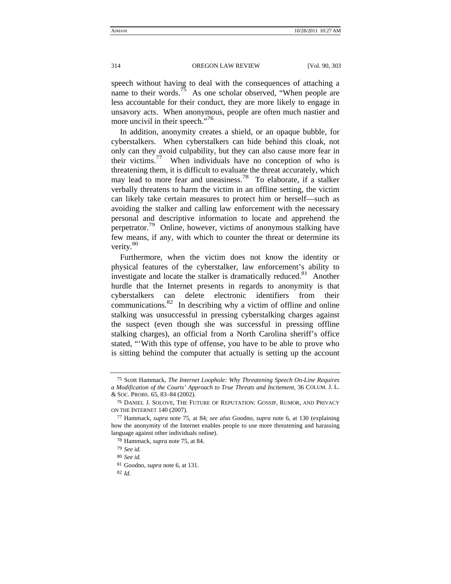speech without having to deal with the consequences of attaching a name to their words.<sup>75</sup> As one scholar observed, "When people are less accountable for their conduct, they are more likely to engage in unsavory acts. When anonymous, people are often much nastier and more uncivil in their speech."<sup>76</sup>

In addition, anonymity creates a shield, or an opaque bubble, for cyberstalkers. When cyberstalkers can hide behind this cloak, not only can they avoid culpability, but they can also cause more fear in their victims.<sup>77</sup> When individuals have no conception of who is threatening them, it is difficult to evaluate the threat accurately, which may lead to more fear and uneasiness.<sup>78</sup> To elaborate, if a stalker verbally threatens to harm the victim in an offline setting, the victim can likely take certain measures to protect him or herself—such as avoiding the stalker and calling law enforcement with the necessary personal and descriptive information to locate and apprehend the perpetrator.<sup>79</sup> Online, however, victims of anonymous stalking have few means, if any, with which to counter the threat or determine its verity.<sup>80</sup>

Furthermore, when the victim does not know the identity or physical features of the cyberstalker, law enforcement's ability to investigate and locate the stalker is dramatically reduced.<sup>81</sup> Another hurdle that the Internet presents in regards to anonymity is that cyberstalkers can delete electronic identifiers from their communications. $82$  In describing why a victim of offline and online stalking was unsuccessful in pressing cyberstalking charges against the suspect (even though she was successful in pressing offline stalking charges), an official from a North Carolina sheriff's office stated, "'With this type of offense, you have to be able to prove who is sitting behind the computer that actually is setting up the account

<sup>75</sup> Scott Hammack, *The Internet Loophole: Why Threatening Speech On-Line Requires a Modification of the Courts' Approach to True Threats and Incitement*, 36 COLUM. J. L. & SOC. PROBS. 65, 83–84 (2002).

<sup>76</sup> DANIEL J. SOLOVE, THE FUTURE OF REPUTATION: GOSSIP, RUMOR, AND PRIVACY ON THE INTERNET 140 (2007).

<sup>77</sup> Hammack, *supra* note 75, at 84; *see also* Goodno, *supra* note 6, at 130 (explaining how the anonymity of the Internet enables people to use more threatening and harassing language against other individuals online).

<sup>78</sup> Hammack, *supra* note 75, at 84.

<sup>79</sup> *See id.*

<sup>80</sup> *See id.*

<sup>81</sup> Goodno, *supra* note 6, at 131.

<sup>82</sup> *Id.*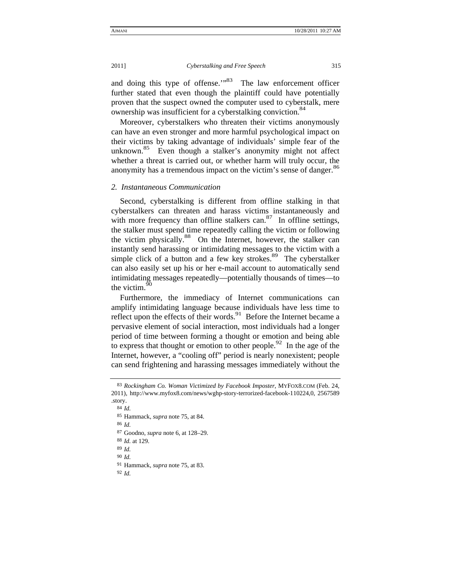and doing this type of offense."<sup>83</sup> The law enforcement officer further stated that even though the plaintiff could have potentially proven that the suspect owned the computer used to cyberstalk, mere ownership was insufficient for a cyberstalking conviction.<sup>84</sup>

Moreover, cyberstalkers who threaten their victims anonymously can have an even stronger and more harmful psychological impact on their victims by taking advantage of individuals' simple fear of the unknown.<sup>85</sup> Even though a stalker's anonymity might not affect whether a threat is carried out, or whether harm will truly occur, the anonymity has a tremendous impact on the victim's sense of danger.<sup>86</sup>

## *2. Instantaneous Communication*

Second, cyberstalking is different from offline stalking in that cyberstalkers can threaten and harass victims instantaneously and with more frequency than offline stalkers can. $87$  In offline settings, the stalker must spend time repeatedly calling the victim or following the victim physically.<sup>88</sup> On the Internet, however, the stalker can instantly send harassing or intimidating messages to the victim with a simple click of a button and a few key strokes.<sup>89</sup> The cyberstalker can also easily set up his or her e-mail account to automatically send intimidating messages repeatedly—potentially thousands of times—to the victim. $90$ 

Furthermore, the immediacy of Internet communications can amplify intimidating language because individuals have less time to reflect upon the effects of their words.<sup>91</sup> Before the Internet became a pervasive element of social interaction, most individuals had a longer period of time between forming a thought or emotion and being able to express that thought or emotion to other people.<sup>92</sup> In the age of the Internet, however, a "cooling off" period is nearly nonexistent; people can send frightening and harassing messages immediately without the

86 *Id.*

88 *Id.* at 129.

89 *Id.*

90 *Id.*

91 Hammack, *supra* note 75, at 83.

92 *Id.*

<sup>83</sup> *Rockingham Co. Woman Victimized by Facebook Imposter*, MYFOX8.COM (Feb. 24, 2011), http://www.myfox8.com/news/wghp-story-terrorized-facebook-110224,0, 2567589 .story.

<sup>84</sup> *Id.*

<sup>85</sup> Hammack, *supra* note 75, at 84.

<sup>87</sup> Goodno, *supra* note 6, at 128–29.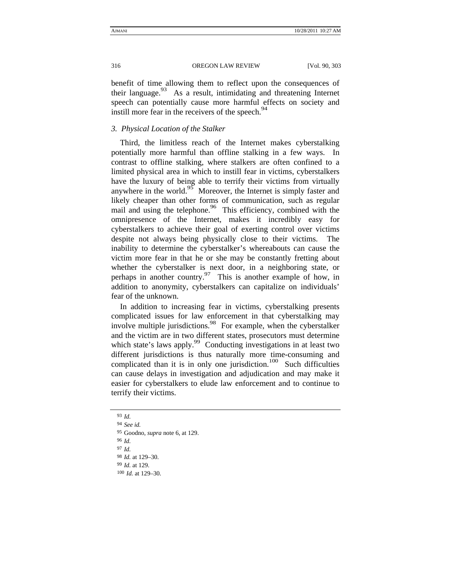benefit of time allowing them to reflect upon the consequences of their language. $93$  As a result, intimidating and threatening Internet speech can potentially cause more harmful effects on society and instill more fear in the receivers of the speech.<sup>94</sup>

## *3. Physical Location of the Stalker*

Third, the limitless reach of the Internet makes cyberstalking potentially more harmful than offline stalking in a few ways. In contrast to offline stalking, where stalkers are often confined to a limited physical area in which to instill fear in victims, cyberstalkers have the luxury of being able to terrify their victims from virtually anywhere in the world.<sup>95</sup> Moreover, the Internet is simply faster and likely cheaper than other forms of communication, such as regular mail and using the telephone.  $96$  This efficiency, combined with the omnipresence of the Internet, makes it incredibly easy for cyberstalkers to achieve their goal of exerting control over victims despite not always being physically close to their victims. The inability to determine the cyberstalker's whereabouts can cause the victim more fear in that he or she may be constantly fretting about whether the cyberstalker is next door, in a neighboring state, or perhaps in another country.<sup>97</sup> This is another example of how, in addition to anonymity, cyberstalkers can capitalize on individuals' fear of the unknown.

In addition to increasing fear in victims, cyberstalking presents complicated issues for law enforcement in that cyberstalking may involve multiple jurisdictions. $^{98}$  For example, when the cyberstalker and the victim are in two different states, prosecutors must determine which state's laws apply.<sup>99</sup> Conducting investigations in at least two different jurisdictions is thus naturally more time-consuming and complicated than it is in only one jurisdiction.<sup>100</sup> Such difficulties can cause delays in investigation and adjudication and may make it easier for cyberstalkers to elude law enforcement and to continue to terrify their victims.

94 *See id.* 95 Goodno, *supra* note 6, at 129. 96 *Id.* 97 *Id.* 98 *Id.* at 129–30. 99 *Id.* at 129. 100 *Id.* at 129–30.

<sup>93</sup> *Id.*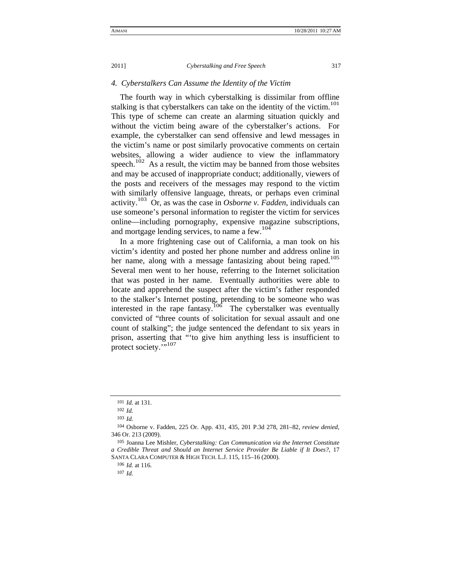### *4. Cyberstalkers Can Assume the Identity of the Victim*

The fourth way in which cyberstalking is dissimilar from offline stalking is that cyberstalkers can take on the identity of the victim.<sup>101</sup> This type of scheme can create an alarming situation quickly and without the victim being aware of the cyberstalker's actions. For example, the cyberstalker can send offensive and lewd messages in the victim's name or post similarly provocative comments on certain websites, allowing a wider audience to view the inflammatory speech.<sup>102</sup> As a result, the victim may be banned from those websites and may be accused of inappropriate conduct; additionally, viewers of the posts and receivers of the messages may respond to the victim with similarly offensive language, threats, or perhaps even criminal activity.103 Or, as was the case in *Osborne v. Fadden*, individuals can use someone's personal information to register the victim for services online—including pornography, expensive magazine subscriptions, and mortgage lending services, to name a few.<sup>104</sup>

In a more frightening case out of California, a man took on his victim's identity and posted her phone number and address online in her name, along with a message fantasizing about being raped.<sup>105</sup> Several men went to her house, referring to the Internet solicitation that was posted in her name. Eventually authorities were able to locate and apprehend the suspect after the victim's father responded to the stalker's Internet posting, pretending to be someone who was interested in the rape fantasy.<sup>106</sup> The cyberstalker was eventually convicted of "three counts of solicitation for sexual assault and one count of stalking"; the judge sentenced the defendant to six years in prison, asserting that "'to give him anything less is insufficient to protect society.",107

107 *Id.*

<sup>101</sup> *Id.* at 131.

<sup>102</sup> *Id.*

<sup>103</sup> *Id.*

<sup>104</sup> Osborne v. Fadden, 225 Or. App. 431, 435, 201 P.3d 278, 281–82, *review denied*, 346 Or. 213 (2009).

<sup>105</sup> Joanna Lee Mishler, *Cyberstalking: Can Communication via the Internet Constitute a Credible Threat and Should an Internet Service Provider Be Liable if It Does?*, 17 SANTA CLARA COMPUTER & HIGH TECH. L.J. 115, 115–16 (2000).

<sup>106</sup> *Id.* at 116.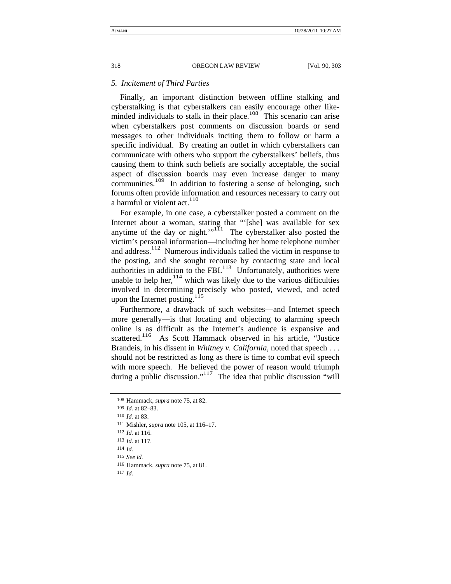#### *5. Incitement of Third Parties*

Finally, an important distinction between offline stalking and cyberstalking is that cyberstalkers can easily encourage other likeminded individuals to stalk in their place.<sup>108</sup> This scenario can arise when cyberstalkers post comments on discussion boards or send messages to other individuals inciting them to follow or harm a specific individual. By creating an outlet in which cyberstalkers can communicate with others who support the cyberstalkers' beliefs, thus causing them to think such beliefs are socially acceptable, the social aspect of discussion boards may even increase danger to many communities.<sup>109</sup> In addition to fostering a sense of belonging, such forums often provide information and resources necessary to carry out a harmful or violent  $act.<sup>110</sup>$ 

For example, in one case, a cyberstalker posted a comment on the Internet about a woman, stating that "'[she] was available for sex anytime of the day or night." $\prod_{i=1}^{N}$  The cyberstalker also posted the victim's personal information—including her home telephone number and address.<sup>112</sup> Numerous individuals called the victim in response to the posting, and she sought recourse by contacting state and local authorities in addition to the FBI. $113$  Unfortunately, authorities were unable to help her, $114$  which was likely due to the various difficulties involved in determining precisely who posted, viewed, and acted upon the Internet posting.<sup>115</sup>

Furthermore, a drawback of such websites—and Internet speech more generally—is that locating and objecting to alarming speech online is as difficult as the Internet's audience is expansive and scattered.<sup>116</sup> As Scott Hammack observed in his article, "Justice Brandeis, in his dissent in *Whitney v. California*, noted that speech . . . should not be restricted as long as there is time to combat evil speech with more speech. He believed the power of reason would triumph during a public discussion."<sup>117</sup> The idea that public discussion "will

<sup>108</sup> Hammack, *supra* note 75, at 82.

<sup>109</sup> *Id.* at 82–83.

<sup>110</sup> *Id.* at 83.

<sup>111</sup> Mishler, *supra* note 105, at 116–17.

<sup>112</sup> *Id.* at 116.

<sup>113</sup> *Id.* at 117.

<sup>114</sup> *Id.*

<sup>115</sup> *See id.*

<sup>116</sup> Hammack, *supra* note 75, at 81.

<sup>117</sup> *Id.*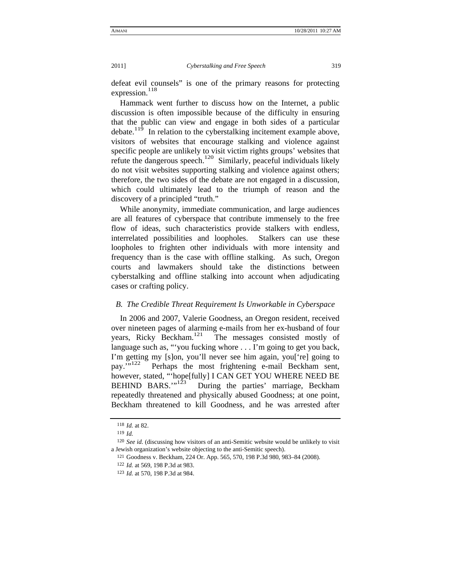defeat evil counsels" is one of the primary reasons for protecting expression. $118$ 

Hammack went further to discuss how on the Internet, a public discussion is often impossible because of the difficulty in ensuring that the public can view and engage in both sides of a particular debate.<sup>119</sup> In relation to the cyberstalking incitement example above, visitors of websites that encourage stalking and violence against specific people are unlikely to visit victim rights groups' websites that refute the dangerous speech.<sup>120</sup> Similarly, peaceful individuals likely do not visit websites supporting stalking and violence against others; therefore, the two sides of the debate are not engaged in a discussion, which could ultimately lead to the triumph of reason and the discovery of a principled "truth."

While anonymity, immediate communication, and large audiences are all features of cyberspace that contribute immensely to the free flow of ideas, such characteristics provide stalkers with endless, interrelated possibilities and loopholes. Stalkers can use these loopholes to frighten other individuals with more intensity and frequency than is the case with offline stalking. As such, Oregon courts and lawmakers should take the distinctions between cyberstalking and offline stalking into account when adjudicating cases or crafting policy.

#### *B. The Credible Threat Requirement Is Unworkable in Cyberspace*

In 2006 and 2007, Valerie Goodness, an Oregon resident, received over nineteen pages of alarming e-mails from her ex-husband of four years, Ricky Beckham.121 The messages consisted mostly of language such as, "'you fucking whore . . . I'm going to get you back, I'm getting my [s]on, you'll never see him again, you['re] going to pay.'"122 Perhaps the most frightening e-mail Beckham sent, however, stated, "'hope[fully] I CAN GET YOU WHERE NEED BE BEHIND BARS."<sup>123</sup> During the parties' marriage. Beckham During the parties' marriage, Beckham repeatedly threatened and physically abused Goodness; at one point, Beckham threatened to kill Goodness, and he was arrested after

<sup>118</sup> *Id.* at 82.

<sup>119</sup> *Id.*

<sup>120</sup> *See id.* (discussing how visitors of an anti-Semitic website would be unlikely to visit a Jewish organization's website objecting to the anti-Semitic speech).

<sup>121</sup> Goodness v. Beckham, 224 Or. App. 565, 570, 198 P.3d 980, 983–84 (2008).

<sup>122</sup> *Id.* at 569, 198 P.3d at 983.

<sup>123</sup> *Id.* at 570, 198 P.3d at 984.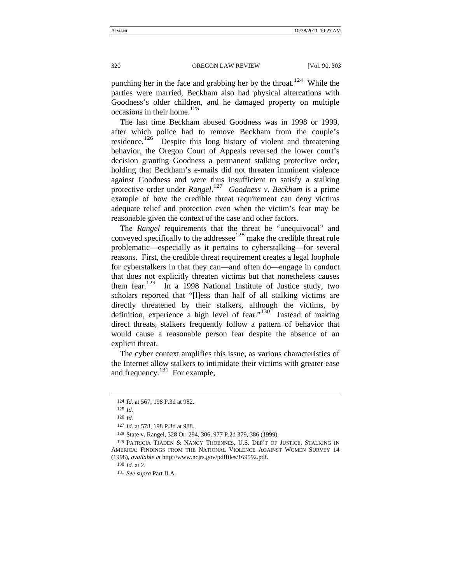punching her in the face and grabbing her by the throat.<sup>124</sup> While the parties were married, Beckham also had physical altercations with Goodness's older children, and he damaged property on multiple occasions in their home.<sup>125</sup>

The last time Beckham abused Goodness was in 1998 or 1999, after which police had to remove Beckham from the couple's residence.<sup>126</sup> Despite this long history of violent and threatening behavior, the Oregon Court of Appeals reversed the lower court's decision granting Goodness a permanent stalking protective order, holding that Beckham's e-mails did not threaten imminent violence against Goodness and were thus insufficient to satisfy a stalking protective order under *Rangel*. 127 *Goodness v. Beckham* is a prime example of how the credible threat requirement can deny victims adequate relief and protection even when the victim's fear may be reasonable given the context of the case and other factors.

The *Rangel* requirements that the threat be "unequivocal" and conveyed specifically to the addressee<sup>128</sup> make the credible threat rule problematic—especially as it pertains to cyberstalking—for several reasons. First, the credible threat requirement creates a legal loophole for cyberstalkers in that they can—and often do—engage in conduct that does not explicitly threaten victims but that nonetheless causes them fear.<sup>129</sup> In a 1998 National Institute of Justice study, two scholars reported that "[l]ess than half of all stalking victims are directly threatened by their stalkers, although the victims, by definition, experience a high level of fear." $130^\circ$  Instead of making direct threats, stalkers frequently follow a pattern of behavior that would cause a reasonable person fear despite the absence of an explicit threat.

The cyber context amplifies this issue, as various characteristics of the Internet allow stalkers to intimidate their victims with greater ease and frequency.<sup>131</sup> For example,

<sup>124</sup> *Id.* at 567, 198 P.3d at 982.

<sup>125</sup> *Id.*

<sup>126</sup> *Id.*

<sup>127</sup> *Id.* at 578, 198 P.3d at 988.

<sup>128</sup> State v. Rangel, 328 Or. 294, 306, 977 P.2d 379, 386 (1999).

<sup>129</sup> PATRICIA TJADEN & NANCY THOENNES, U.S. DEP'T OF JUSTICE, STALKING IN AMERICA: FINDINGS FROM THE NATIONAL VIOLENCE AGAINST WOMEN SURVEY 14 (1998), *available at* http://www.ncjrs.gov/pdffiles/169592.pdf.

<sup>130</sup> *Id.* at 2.

<sup>131</sup> *See supra* Part II.A.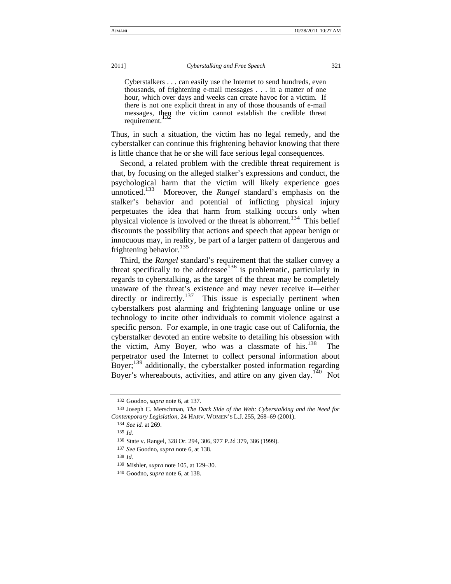Cyberstalkers . . . can easily use the Internet to send hundreds, even thousands, of frightening e-mail messages . . . in a matter of one hour, which over days and weeks can create havoc for a victim. If there is not one explicit threat in any of those thousands of e-mail messages, then the victim cannot establish the credible threat requirement.

Thus, in such a situation, the victim has no legal remedy, and the cyberstalker can continue this frightening behavior knowing that there is little chance that he or she will face serious legal consequences.

Second, a related problem with the credible threat requirement is that, by focusing on the alleged stalker's expressions and conduct, the psychological harm that the victim will likely experience goes unnoticed.<sup>133</sup> Moreover, the *Rangel* standard's emphasis on the stalker's behavior and potential of inflicting physical injury perpetuates the idea that harm from stalking occurs only when physical violence is involved or the threat is abhorrent.<sup>134</sup> This belief discounts the possibility that actions and speech that appear benign or innocuous may, in reality, be part of a larger pattern of dangerous and frightening behavior.<sup>135</sup>

Third, the *Rangel* standard's requirement that the stalker convey a threat specifically to the addresse $e^{136}$  is problematic, particularly in regards to cyberstalking, as the target of the threat may be completely unaware of the threat's existence and may never receive it—either directly or indirectly.<sup>137</sup> This issue is especially pertinent when cyberstalkers post alarming and frightening language online or use technology to incite other individuals to commit violence against a specific person. For example, in one tragic case out of California, the cyberstalker devoted an entire website to detailing his obsession with the victim, Amy Boyer, who was a classmate of his. $138$  The perpetrator used the Internet to collect personal information about Boyer;<sup>139</sup> additionally, the cyberstalker posted information regarding Boyer's whereabouts, activities, and attire on any given day.<sup>140</sup> Not

<sup>132</sup> Goodno, *supra* note 6, at 137.

<sup>133</sup> Joseph C. Merschman, *The Dark Side of the Web: Cyberstalking and the Need for Contemporary Legislation*, 24 HARV. WOMEN'S L.J. 255, 268–69 (2001).

<sup>134</sup> *See id.* at 269.

<sup>135</sup> *Id.*

<sup>136</sup> State v. Rangel, 328 Or. 294, 306, 977 P.2d 379, 386 (1999).

<sup>137</sup> *See* Goodno, *supra* note 6, at 138.

<sup>138</sup> *Id.*

<sup>139</sup> Mishler, *supra* note 105, at 129–30.

<sup>140</sup> Goodno, *supra* note 6, at 138.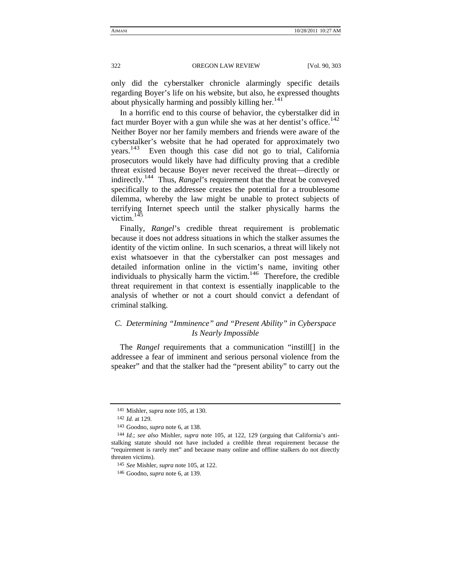only did the cyberstalker chronicle alarmingly specific details regarding Boyer's life on his website, but also, he expressed thoughts about physically harming and possibly killing her.<sup>141</sup>

In a horrific end to this course of behavior, the cyberstalker did in fact murder Boyer with a gun while she was at her dentist's office.<sup>142</sup> Neither Boyer nor her family members and friends were aware of the cyberstalker's website that he had operated for approximately two  $years.<sup>143</sup>$ Even though this case did not go to trial, California prosecutors would likely have had difficulty proving that a credible threat existed because Boyer never received the threat—directly or indirectly.144 Thus, *Rangel*'s requirement that the threat be conveyed specifically to the addressee creates the potential for a troublesome dilemma, whereby the law might be unable to protect subjects of terrifying Internet speech until the stalker physically harms the victim. $145$ 

Finally, *Rangel*'s credible threat requirement is problematic because it does not address situations in which the stalker assumes the identity of the victim online. In such scenarios, a threat will likely not exist whatsoever in that the cyberstalker can post messages and detailed information online in the victim's name, inviting other individuals to physically harm the victim. $146$  Therefore, the credible threat requirement in that context is essentially inapplicable to the analysis of whether or not a court should convict a defendant of criminal stalking.

# *C. Determining "Imminence" and "Present Ability" in Cyberspace Is Nearly Impossible*

The *Rangel* requirements that a communication "instill[] in the addressee a fear of imminent and serious personal violence from the speaker" and that the stalker had the "present ability" to carry out the

<sup>141</sup> Mishler, *supra* note 105, at 130.

<sup>142</sup> *Id.* at 129.

<sup>143</sup> Goodno, *supra* note 6, at 138.

<sup>144</sup> *Id.*; *see also* Mishler, *supra* note 105, at 122, 129 (arguing that California's antistalking statute should not have included a credible threat requirement because the "requirement is rarely met" and because many online and offline stalkers do not directly threaten victims).

<sup>145</sup> *See* Mishler, *supra* note 105, at 122.

<sup>146</sup> Goodno, *supra* note 6, at 139.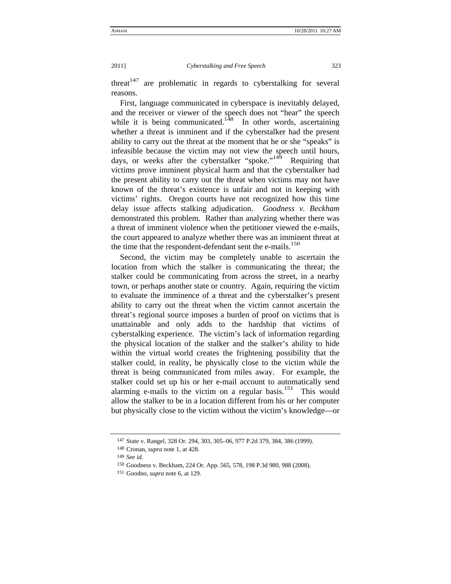threat<sup>147</sup> are problematic in regards to cyberstalking for several reasons.

First, language communicated in cyberspace is inevitably delayed, and the receiver or viewer of the speech does not "hear" the speech while it is being communicated.<sup>148</sup> In other words, ascertaining whether a threat is imminent and if the cyberstalker had the present ability to carry out the threat at the moment that he or she "speaks" is infeasible because the victim may not view the speech until hours, days, or weeks after the cyberstalker "spoke."<sup>149</sup> Requiring that victims prove imminent physical harm and that the cyberstalker had the present ability to carry out the threat when victims may not have known of the threat's existence is unfair and not in keeping with victims' rights. Oregon courts have not recognized how this time delay issue affects stalking adjudication. *Goodness v. Beckham* demonstrated this problem. Rather than analyzing whether there was a threat of imminent violence when the petitioner viewed the e-mails, the court appeared to analyze whether there was an imminent threat at the time that the respondent-defendant sent the e-mails.<sup>150</sup>

Second, the victim may be completely unable to ascertain the location from which the stalker is communicating the threat; the stalker could be communicating from across the street, in a nearby town, or perhaps another state or country. Again, requiring the victim to evaluate the imminence of a threat and the cyberstalker's present ability to carry out the threat when the victim cannot ascertain the threat's regional source imposes a burden of proof on victims that is unattainable and only adds to the hardship that victims of cyberstalking experience. The victim's lack of information regarding the physical location of the stalker and the stalker's ability to hide within the virtual world creates the frightening possibility that the stalker could, in reality, be physically close to the victim while the threat is being communicated from miles away. For example, the stalker could set up his or her e-mail account to automatically send alarming e-mails to the victim on a regular basis.<sup>151</sup> This would allow the stalker to be in a location different from his or her computer but physically close to the victim without the victim's knowledge—or

<sup>147</sup> State v. Rangel, 328 Or. 294, 303, 305–06, 977 P.2d 379, 384, 386 (1999).

<sup>148</sup> Cronan, *supra* note 1, at 428.

<sup>149</sup> *See id.*

<sup>150</sup> Goodness v. Beckham, 224 Or. App. 565, 578, 198 P.3d 980, 988 (2008).

<sup>151</sup> Goodno, *supra* note 6, at 129.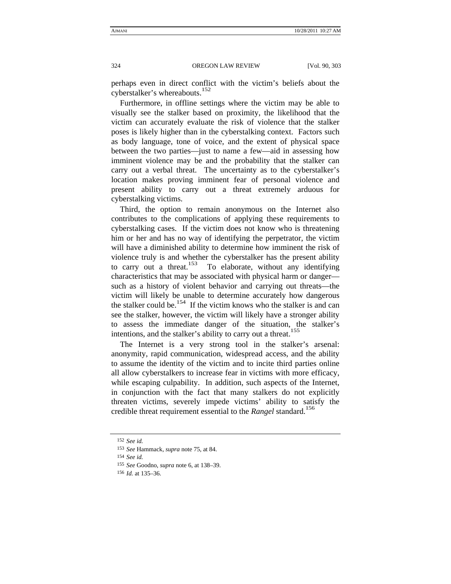perhaps even in direct conflict with the victim's beliefs about the cyberstalker's whereabouts.<sup>152</sup>

Furthermore, in offline settings where the victim may be able to visually see the stalker based on proximity, the likelihood that the victim can accurately evaluate the risk of violence that the stalker poses is likely higher than in the cyberstalking context. Factors such as body language, tone of voice, and the extent of physical space between the two parties—just to name a few—aid in assessing how imminent violence may be and the probability that the stalker can carry out a verbal threat. The uncertainty as to the cyberstalker's location makes proving imminent fear of personal violence and present ability to carry out a threat extremely arduous for cyberstalking victims.

Third, the option to remain anonymous on the Internet also contributes to the complications of applying these requirements to cyberstalking cases. If the victim does not know who is threatening him or her and has no way of identifying the perpetrator, the victim will have a diminished ability to determine how imminent the risk of violence truly is and whether the cyberstalker has the present ability to carry out a threat.<sup>153</sup> To elaborate, without any identifying characteristics that may be associated with physical harm or danger such as a history of violent behavior and carrying out threats—the victim will likely be unable to determine accurately how dangerous the stalker could be.<sup>154</sup> If the victim knows who the stalker is and can see the stalker, however, the victim will likely have a stronger ability to assess the immediate danger of the situation, the stalker's intentions, and the stalker's ability to carry out a threat.<sup>155</sup>

The Internet is a very strong tool in the stalker's arsenal: anonymity, rapid communication, widespread access, and the ability to assume the identity of the victim and to incite third parties online all allow cyberstalkers to increase fear in victims with more efficacy, while escaping culpability. In addition, such aspects of the Internet, in conjunction with the fact that many stalkers do not explicitly threaten victims, severely impede victims' ability to satisfy the credible threat requirement essential to the *Rangel* standard.156

<sup>152</sup> *See id.*

<sup>153</sup> *See* Hammack, *supra* note 75, at 84.

<sup>154</sup> *See id.*

<sup>155</sup> *See* Goodno, *supra* note 6, at 138–39.

<sup>156</sup> *Id.* at 135–36.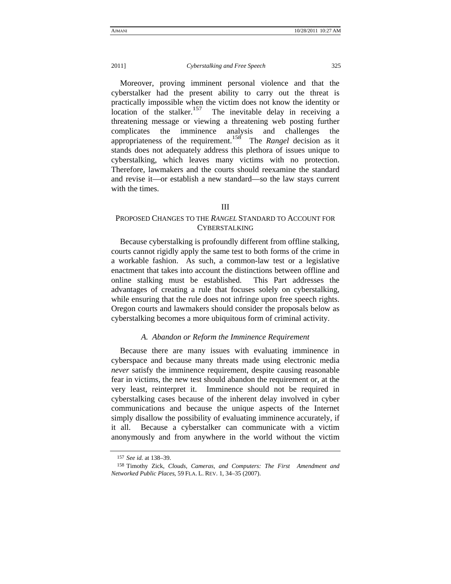Moreover, proving imminent personal violence and that the cyberstalker had the present ability to carry out the threat is practically impossible when the victim does not know the identity or  $\frac{1}{2}$  location of the stalker.<sup>157</sup> The inevitable delay in receiving a threatening message or viewing a threatening web posting further complicates the imminence analysis and challenges the appropriateness of the requirement.158 The *Rangel* decision as it stands does not adequately address this plethora of issues unique to cyberstalking, which leaves many victims with no protection. Therefore, lawmakers and the courts should reexamine the standard and revise it—or establish a new standard—so the law stays current with the times.

## III

# PROPOSED CHANGES TO THE *RANGEL* STANDARD TO ACCOUNT FOR CYBERSTALKING

Because cyberstalking is profoundly different from offline stalking, courts cannot rigidly apply the same test to both forms of the crime in a workable fashion. As such, a common-law test or a legislative enactment that takes into account the distinctions between offline and online stalking must be established. This Part addresses the advantages of creating a rule that focuses solely on cyberstalking, while ensuring that the rule does not infringe upon free speech rights. Oregon courts and lawmakers should consider the proposals below as cyberstalking becomes a more ubiquitous form of criminal activity.

### *A. Abandon or Reform the Imminence Requirement*

Because there are many issues with evaluating imminence in cyberspace and because many threats made using electronic media *never* satisfy the imminence requirement, despite causing reasonable fear in victims, the new test should abandon the requirement or, at the very least, reinterpret it. Imminence should not be required in cyberstalking cases because of the inherent delay involved in cyber communications and because the unique aspects of the Internet simply disallow the possibility of evaluating imminence accurately, if it all. Because a cyberstalker can communicate with a victim anonymously and from anywhere in the world without the victim

<sup>157</sup> *See id.* at 138–39.

<sup>158</sup> Timothy Zick, *Clouds, Cameras, and Computers: The First Amendment and Networked Public Places*, 59 FLA. L. REV. 1, 34–35 (2007).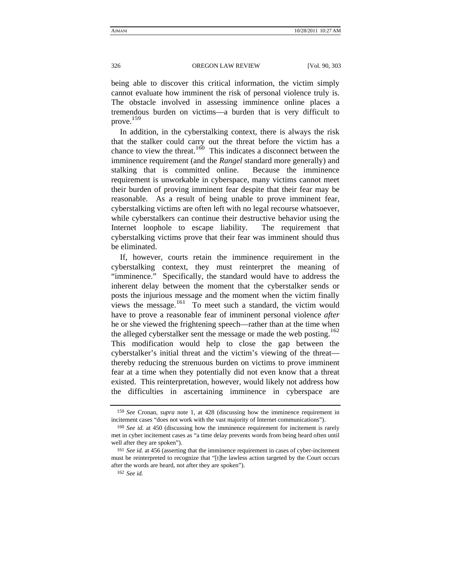being able to discover this critical information, the victim simply cannot evaluate how imminent the risk of personal violence truly is. The obstacle involved in assessing imminence online places a tremendous burden on victims—a burden that is very difficult to prove. 159

In addition, in the cyberstalking context, there is always the risk that the stalker could carry out the threat before the victim has a chance to view the threat.<sup>160</sup> This indicates a disconnect between the imminence requirement (and the *Rangel* standard more generally) and stalking that is committed online. Because the imminence requirement is unworkable in cyberspace, many victims cannot meet their burden of proving imminent fear despite that their fear may be reasonable. As a result of being unable to prove imminent fear, cyberstalking victims are often left with no legal recourse whatsoever, while cyberstalkers can continue their destructive behavior using the Internet loophole to escape liability. The requirement that cyberstalking victims prove that their fear was imminent should thus be eliminated.

If, however, courts retain the imminence requirement in the cyberstalking context, they must reinterpret the meaning of "imminence." Specifically, the standard would have to address the inherent delay between the moment that the cyberstalker sends or posts the injurious message and the moment when the victim finally views the message.<sup>161</sup> To meet such a standard, the victim would have to prove a reasonable fear of imminent personal violence *after* he or she viewed the frightening speech—rather than at the time when the alleged cyberstalker sent the message or made the web posting.<sup>162</sup> This modification would help to close the gap between the cyberstalker's initial threat and the victim's viewing of the threat thereby reducing the strenuous burden on victims to prove imminent fear at a time when they potentially did not even know that a threat existed. This reinterpretation, however, would likely not address how the difficulties in ascertaining imminence in cyberspace are

<sup>159</sup> *See* Cronan, *supra* note 1, at 428 (discussing how the imminence requirement in incitement cases "does not work with the vast majority of Internet communications").

<sup>160</sup> *See id.* at 450 (discussing how the imminence requirement for incitement is rarely met in cyber incitement cases as "a time delay prevents words from being heard often until well after they are spoken").

<sup>161</sup> *See id.* at 456 (asserting that the imminence requirement in cases of cyber-incitement must be reinterpreted to recognize that "[t]he lawless action targeted by the Court occurs after the words are heard, not after they are spoken").

<sup>162</sup> *See id.*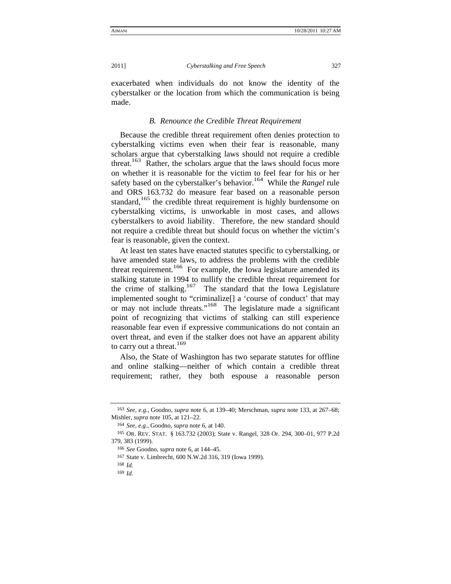exacerbated when individuals do not know the identity of the cyberstalker or the location from which the communication is being made.

## *B. Renounce the Credible Threat Requirement*

Because the credible threat requirement often denies protection to cyberstalking victims even when their fear is reasonable, many scholars argue that cyberstalking laws should not require a credible threat.<sup>163</sup> Rather, the scholars argue that the laws should focus more on whether it is reasonable for the victim to feel fear for his or her safety based on the cyberstalker's behavior.<sup>164</sup> While the *Rangel* rule and ORS 163.732 do measure fear based on a reasonable person standard,<sup>165</sup> the credible threat requirement is highly burdensome on cyberstalking victims, is unworkable in most cases, and allows cyberstalkers to avoid liability. Therefore, the new standard should not require a credible threat but should focus on whether the victim's fear is reasonable, given the context.

At least ten states have enacted statutes specific to cyberstalking, or have amended state laws, to address the problems with the credible threat requirement.<sup>166</sup> For example, the Iowa legislature amended its stalking statute in 1994 to nullify the credible threat requirement for the crime of stalking.<sup>167</sup> The standard that the Iowa Legislature implemented sought to "criminalize[] a 'course of conduct' that may or may not include threats."<sup>168</sup> The legislature made a significant point of recognizing that victims of stalking can still experience reasonable fear even if expressive communications do not contain an overt threat, and even if the stalker does not have an apparent ability to carry out a threat. $169$ 

Also, the State of Washington has two separate statutes for offline and online stalking—neither of which contain a credible threat requirement; rather, they both espouse a reasonable person

<sup>163</sup> *See, e.g.*, Goodno, *supra* note 6, at 139–40; Merschman, *supra* note 133, at 267–68; Mishler, *supra* note 105, at 121–22.

<sup>164</sup> *See, e.g.*, Goodno, *supra* note 6, at 140.

<sup>165</sup> OR. REV. STAT. § 163.732 (2003); State v. Rangel, 328 Or. 294, 300–01, 977 P.2d 379, 383 (1999).

<sup>166</sup> *See* Goodno, *supra* note 6, at 144–45.

<sup>167</sup> State v. Limbrecht, 600 N.W.2d 316, 319 (Iowa 1999).

<sup>168</sup> *Id.*

<sup>169</sup> *Id.*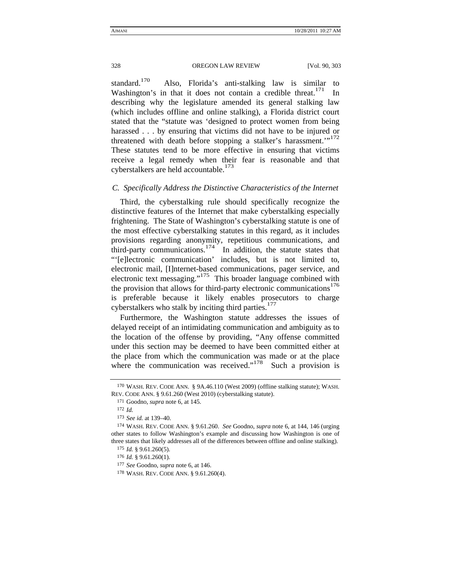standard.<sup>170</sup> Also, Florida's anti-stalking law is similar to Washington's in that it does not contain a credible threat.<sup>171</sup> describing why the legislature amended its general stalking law (which includes offline and online stalking), a Florida district court stated that the "statute was 'designed to protect women from being harassed . . . by ensuring that victims did not have to be injured or threatened with death before stopping a stalker's harassment."<sup>172</sup> These statutes tend to be more effective in ensuring that victims receive a legal remedy when their fear is reasonable and that cyberstalkers are held accountable.<sup>173</sup>

## *C. Specifically Address the Distinctive Characteristics of the Internet*

Third, the cyberstalking rule should specifically recognize the distinctive features of the Internet that make cyberstalking especially frightening. The State of Washington's cyberstalking statute is one of the most effective cyberstalking statutes in this regard, as it includes provisions regarding anonymity, repetitious communications, and third-party communications.<sup>174</sup> In addition, the statute states that "'[e]lectronic communication' includes, but is not limited to, electronic mail, [I]nternet-based communications, pager service, and electronic text messaging."175 This broader language combined with the provision that allows for third-party electronic communications<sup>176</sup> is preferable because it likely enables prosecutors to charge cyberstalkers who stalk by inciting third parties.<sup>177</sup>

Furthermore, the Washington statute addresses the issues of delayed receipt of an intimidating communication and ambiguity as to the location of the offense by providing, "Any offense committed under this section may be deemed to have been committed either at the place from which the communication was made or at the place where the communication was received."<sup>178</sup> Such a provision is

<sup>170</sup> WASH. REV. CODE ANN. § 9A.46.110 (West 2009) (offline stalking statute); WASH. REV. CODE ANN. § 9.61.260 (West 2010) (cyberstalking statute).

<sup>171</sup> Goodno, *supra* note 6, at 145.

<sup>172</sup> *Id.*

<sup>173</sup> *See id.* at 139–40.

<sup>174</sup> WASH. REV. CODE ANN. § 9.61.260. *See* Goodno, *supra* note 6, at 144, 146 (urging other states to follow Washington's example and discussing how Washington is one of three states that likely addresses all of the differences between offline and online stalking).

<sup>175</sup> *Id.* § 9.61.260(5).

<sup>176</sup> *Id.* § 9.61.260(1).

<sup>177</sup> *See* Goodno, *supra* note 6, at 146.

<sup>178</sup> WASH. REV. CODE ANN. § 9.61.260(4).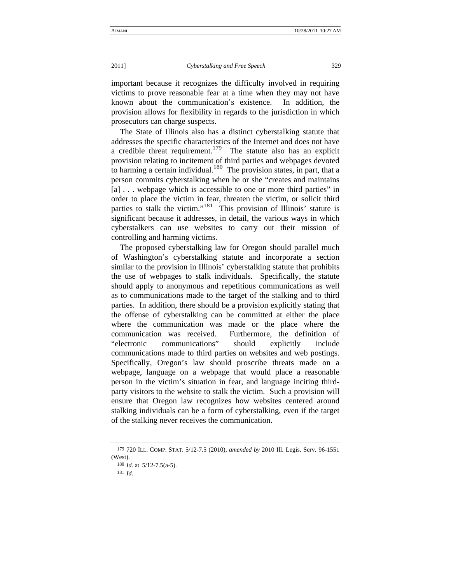important because it recognizes the difficulty involved in requiring victims to prove reasonable fear at a time when they may not have known about the communication's existence. In addition, the provision allows for flexibility in regards to the jurisdiction in which prosecutors can charge suspects.

The State of Illinois also has a distinct cyberstalking statute that addresses the specific characteristics of the Internet and does not have a credible threat requirement.<sup>179</sup> The statute also has an explicit provision relating to incitement of third parties and webpages devoted to harming a certain individual.<sup>180</sup> The provision states, in part, that a person commits cyberstalking when he or she "creates and maintains [a] ... we bpage which is accessible to one or more third parties" in order to place the victim in fear, threaten the victim, or solicit third parties to stalk the victim."<sup>181</sup> This provision of Illinois' statute is significant because it addresses, in detail, the various ways in which cyberstalkers can use websites to carry out their mission of controlling and harming victims.

The proposed cyberstalking law for Oregon should parallel much of Washington's cyberstalking statute and incorporate a section similar to the provision in Illinois' cyberstalking statute that prohibits the use of webpages to stalk individuals. Specifically, the statute should apply to anonymous and repetitious communications as well as to communications made to the target of the stalking and to third parties. In addition, there should be a provision explicitly stating that the offense of cyberstalking can be committed at either the place where the communication was made or the place where the communication was received. Furthermore, the definition of "electronic communications" should explicitly include communications made to third parties on websites and web postings. Specifically, Oregon's law should proscribe threats made on a webpage, language on a webpage that would place a reasonable person in the victim's situation in fear, and language inciting thirdparty visitors to the website to stalk the victim. Such a provision will ensure that Oregon law recognizes how websites centered around stalking individuals can be a form of cyberstalking, even if the target of the stalking never receives the communication.

<sup>179</sup> 720 ILL. COMP. STAT. 5/12-7.5 (2010), *amended by* 2010 Ill. Legis. Serv. 96-1551 (West).

<sup>180</sup> *Id.* at 5/12-7.5(a-5).

<sup>181</sup> *Id.*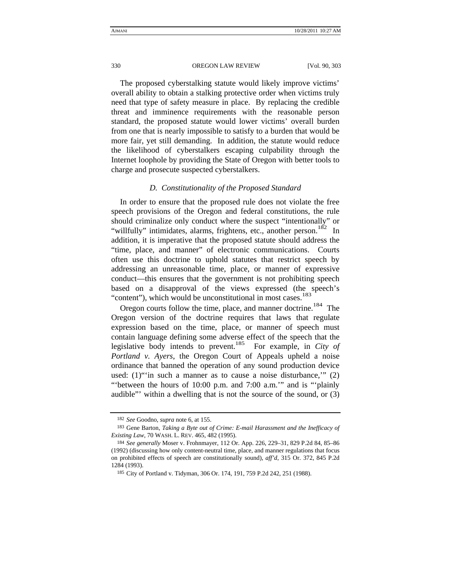The proposed cyberstalking statute would likely improve victims' overall ability to obtain a stalking protective order when victims truly need that type of safety measure in place. By replacing the credible threat and imminence requirements with the reasonable person standard, the proposed statute would lower victims' overall burden from one that is nearly impossible to satisfy to a burden that would be more fair, yet still demanding. In addition, the statute would reduce the likelihood of cyberstalkers escaping culpability through the Internet loophole by providing the State of Oregon with better tools to charge and prosecute suspected cyberstalkers.

#### *D. Constitutionality of the Proposed Standard*

In order to ensure that the proposed rule does not violate the free speech provisions of the Oregon and federal constitutions, the rule should criminalize only conduct where the suspect "intentionally" or "willfully" intimidates, alarms, frightens, etc., another person.<sup>182</sup> In addition, it is imperative that the proposed statute should address the "time, place, and manner" of electronic communications. Courts often use this doctrine to uphold statutes that restrict speech by addressing an unreasonable time, place, or manner of expressive conduct—this ensures that the government is not prohibiting speech based on a disapproval of the views expressed (the speech's "content"), which would be unconstitutional in most cases.<sup>183</sup>

Oregon courts follow the time, place, and manner doctrine.<sup>184</sup> The Oregon version of the doctrine requires that laws that regulate expression based on the time, place, or manner of speech must contain language defining some adverse effect of the speech that the legislative body intends to prevent.185 For example, in *City of Portland v. Ayers*, the Oregon Court of Appeals upheld a noise ordinance that banned the operation of any sound production device used: (1)"'in such a manner as to cause a noise disturbance,'" (2) "between the hours of 10:00 p.m. and 7:00 a.m." and is "plainly" audible"' within a dwelling that is not the source of the sound, or (3)

<sup>182</sup> *See* Goodno, *supra* note 6, at 155.

<sup>183</sup> Gene Barton, *Taking a Byte out of Crime: E-mail Harassment and the Inefficacy of Existing Law*, 70 WASH. L. REV. 465, 482 (1995).

<sup>184</sup> *See generally* Moser v. Frohnmayer, 112 Or. App. 226, 229–31, 829 P.2d 84, 85–86 (1992) (discussing how only content-neutral time, place, and manner regulations that focus on prohibited effects of speech are constitutionally sound), *aff'd*, 315 Or. 372, 845 P.2d 1284 (1993).

<sup>185</sup> City of Portland v. Tidyman, 306 Or. 174, 191, 759 P.2d 242, 251 (1988).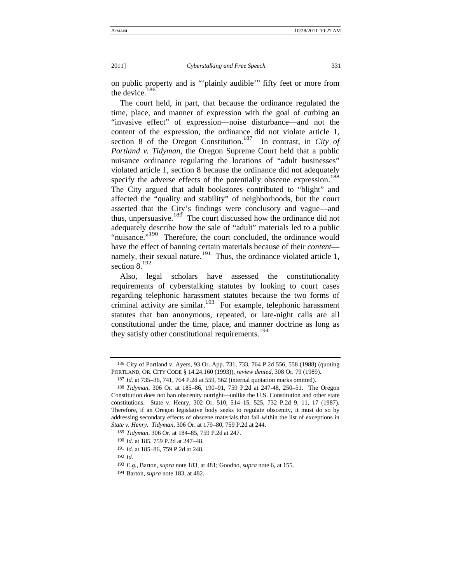on public property and is "'plainly audible'" fifty feet or more from the device.<sup>186</sup>

The court held, in part, that because the ordinance regulated the time, place, and manner of expression with the goal of curbing an "invasive effect" of expression—noise disturbance—and not the content of the expression, the ordinance did not violate article 1, section 8 of the Oregon Constitution.<sup>187</sup> In contrast, in *City of Portland v. Tidyman*, the Oregon Supreme Court held that a public nuisance ordinance regulating the locations of "adult businesses" violated article 1, section 8 because the ordinance did not adequately specify the adverse effects of the potentially obscene expression.<sup>188</sup> The City argued that adult bookstores contributed to "blight" and affected the "quality and stability" of neighborhoods, but the court asserted that the City's findings were conclusory and vague—and thus, unpersuasive.189 The court discussed how the ordinance did not adequately describe how the sale of "adult" materials led to a public "nuisance."<sup>190</sup> Therefore, the court concluded, the ordinance would have the effect of banning certain materials because of their *content* namely, their sexual nature.<sup>191</sup> Thus, the ordinance violated article 1, section 8.<sup>192</sup>

Also, legal scholars have assessed the constitutionality requirements of cyberstalking statutes by looking to court cases regarding telephonic harassment statutes because the two forms of criminal activity are similar.<sup>193</sup> For example, telephonic harassment statutes that ban anonymous, repeated, or late-night calls are all constitutional under the time, place, and manner doctrine as long as they satisfy other constitutional requirements.<sup>194</sup>

192 *Id.*

<sup>186</sup> City of Portland v. Ayers, 93 Or. App. 731, 733, 764 P.2d 556, 558 (1988) (quoting PORTLAND, OR. CITY CODE § 14.24.160 (1993)), *review denied*, 308 Or. 79 (1989).

<sup>187</sup> *Id.* at 735–36, 741, 764 P.2d at 559, 562 (internal quotation marks omitted).

<sup>188</sup> *Tidyman*, 306 Or. at 185–86, 190–91, 759 P.2d at 247-48, 250–51. The Oregon Constitution does not ban obscenity outright—unlike the U.S. Constitution and other state constitutions. State v. Henry, 302 Or. 510, 514–15, 525, 732 P.2d 9, 11, 17 (1987). Therefore, if an Oregon legislative body seeks to regulate obscenity, it must do so by addressing secondary effects of obscene materials that fall within the list of exceptions in *State v. Henry*. *Tidyman*, 306 Or. at 179–80, 759 P.2d at 244.

<sup>189</sup> *Tidyman*, 306 Or. at 184–85, 759 P.2d at 247.

<sup>190</sup> *Id.* at 185, 759 P.2d at 247–48.

<sup>191</sup> *Id.* at 185–86, 759 P.2d at 248.

<sup>193</sup> *E.g.*, Barton, *supra* note 183, at 481; Goodno, *supra* note 6, at 155.

<sup>194</sup> Barton, *supra* note 183, at 482.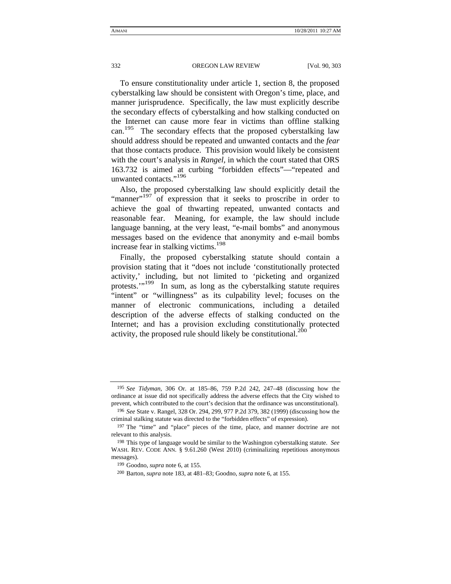To ensure constitutionality under article 1, section 8, the proposed cyberstalking law should be consistent with Oregon's time, place, and manner jurisprudence. Specifically, the law must explicitly describe the secondary effects of cyberstalking and how stalking conducted on the Internet can cause more fear in victims than offline stalking can.<sup>195</sup> The secondary effects that the proposed cyberstalking law should address should be repeated and unwanted contacts and the *fear* that those contacts produce. This provision would likely be consistent with the court's analysis in *Rangel,* in which the court stated that ORS 163.732 is aimed at curbing "forbidden effects"—"repeated and unwanted contacts."<sup>196</sup>

Also, the proposed cyberstalking law should explicitly detail the "manner"<sup>197</sup> of expression that it seeks to proscribe in order to achieve the goal of thwarting repeated, unwanted contacts and reasonable fear. Meaning, for example, the law should include language banning, at the very least, "e-mail bombs" and anonymous messages based on the evidence that anonymity and e-mail bombs increase fear in stalking victims.<sup>198</sup>

Finally, the proposed cyberstalking statute should contain a provision stating that it "does not include 'constitutionally protected activity,' including, but not limited to 'picketing and organized protests."<sup>199</sup> In sum, as long as the cyberstalking statute requires "intent" or "willingness" as its culpability level; focuses on the manner of electronic communications, including a detailed description of the adverse effects of stalking conducted on the Internet; and has a provision excluding constitutionally protected activity, the proposed rule should likely be constitutional. $^{200}$ 

<sup>195</sup> *See Tidyman*, 306 Or. at 185–86, 759 P.2d 242, 247–48 (discussing how the ordinance at issue did not specifically address the adverse effects that the City wished to prevent, which contributed to the court's decision that the ordinance was unconstitutional).

<sup>196</sup> *See* State v. Rangel, 328 Or. 294, 299, 977 P.2d 379, 382 (1999) (discussing how the criminal stalking statute was directed to the "forbidden effects" of expression).

<sup>197</sup> The "time" and "place" pieces of the time, place, and manner doctrine are not relevant to this analysis.

<sup>198</sup> This type of language would be similar to the Washington cyberstalking statute. *See* WASH. REV. CODE ANN. § 9.61.260 (West 2010) (criminalizing repetitious anonymous messages).

<sup>199</sup> Goodno, *supra* note 6, at 155.

<sup>200</sup> Barton, *supra* note 183, at 481–83; Goodno, *supra* note 6, at 155.